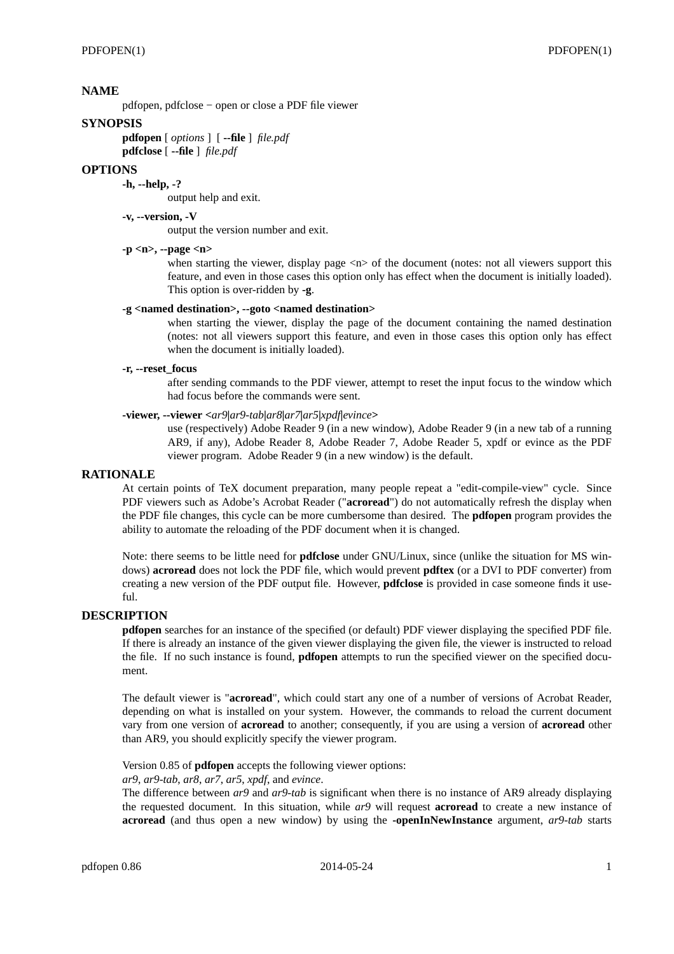## **NAME**

pdfopen, pdfclose - open or close a PDF file viewer

#### **SYNOPSIS**

**pdfopen** [ *options* ] [ **--file** ] *file.pdf* **pdfclose** [ **--file** ] *file.pdf*

### **OPTIONS**

**-h, --help, -?** output help and exit.

**-v, --version, -V**

output the version number and exit.

## **-p <n>, --page <n>**

when starting the viewer, display page  $\langle n \rangle$  of the document (notes: not all viewers support this feature, and even in those cases this option only has effect when the document is initially loaded). This option is over-ridden by **-g**.

#### **-g <named destination>, --goto <named destination>**

when starting the viewer, display the page of the document containing the named destination (notes: not all viewers support this feature, and even in those cases this option only has effect when the document is initially loaded).

#### **-r, --reset\_focus**

after sending commands to the PDF viewer, attempt to reset the input focus to the window which had focus before the commands were sent.

## **-viewer, --viewer <***ar9***|***ar9-tab***|***ar8***|***ar7***|***ar5***|***xpdf***|***evince***>**

use (respectively) Adobe Reader 9 (in a new window), Adobe Reader 9 (in a new tab of a running AR9, if any), Adobe Reader 8, Adobe Reader 7, Adobe Reader 5, xpdf or evince as the PDF viewer program. Adobe Reader 9 (in a new window) is the default.

#### **RATIONALE**

At certain points of TeX document preparation, many people repeat a "edit-compile-view" cycle. Since PDF viewers such as Adobe's Acrobat Reader ("**acroread**") do not automatically refresh the display when the PDF file changes, this cycle can be more cumbersome than desired. The **pdfopen** program provides the ability to automate the reloading of the PDF document when it is changed.

Note: there seems to be little need for **pdfclose** under GNU/Linux, since (unlike the situation for MS windows) **acroread** does not lock the PDF file, which would prevent **pdftex** (or a DVI to PDF converter) from creating a new version of the PDF output file. However, **pdfclose** is provided in case someone finds it use $f_{11}$ 

# **DESCRIPTION**

**pdfopen** searches for an instance of the specified (or default) PDF viewer displaying the specified PDF file. If there is already an instance of the given viewer displaying the given file, the viewer is instructed to reload the file. If no such instance is found, **pdfopen** attempts to run the specified viewer on the specified document.

The default viewer is "**acroread**", which could start any one of a number of versions of Acrobat Reader, depending on what is installed on your system. However, the commands to reload the current document vary from one version of **acroread** to another; consequently, if you are using a version of **acroread** other than AR9, you should explicitly specify the viewer program.

Version 0.85 of **pdfopen** accepts the following viewer options:

## *ar9*, *ar9-tab*, *ar8*, *ar7*, *ar5*, *xpdf*, and *evince*.

The difference between *ar9* and *ar9-tab* is significant when there is no instance of AR9 already displaying the requested document. In this situation, while *ar9* will request **acroread** to create a new instance of **acroread** (and thus open a new window) by using the **-openInNewInstance** argument, *ar9-tab* starts